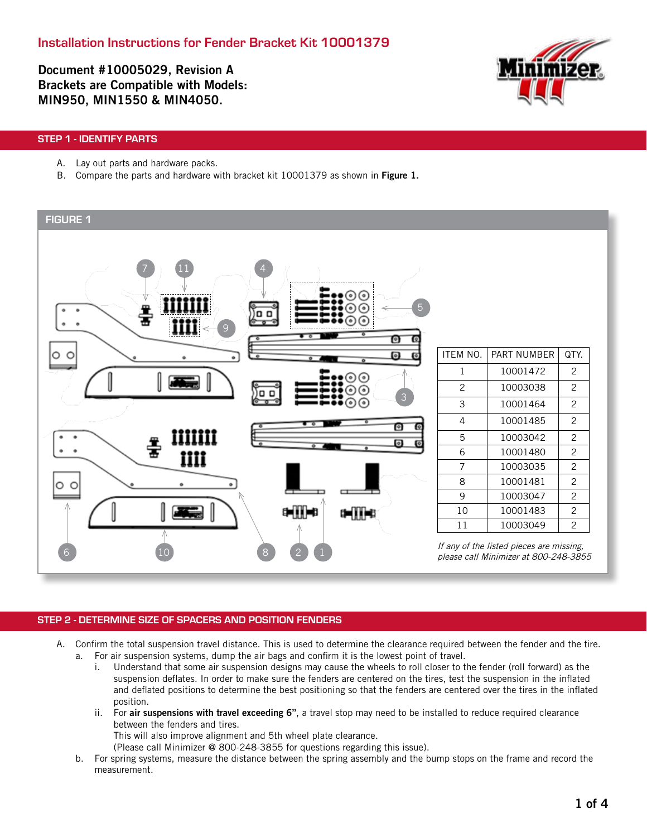Document #10005029, Revision A Brackets are Compatible with Models: MIN950, MIN1550 & MIN4050.



# STEP 1 - IDENTIFY PARTS

- A. Lay out parts and hardware packs.
- B. Compare the parts and hardware with bracket kit 10001379 as shown in Figure 1.

# FIGURE 1  $7$  11 4 5 o o 9 А ITEM NO. | PART NUMBER | QTY. តា  $1 \quad 10001472 \quad 2$ 2 10003038 2 3 3 10001464 2 4 10001485 2 Θ iiiiiii 5 10003042 2 o  $\ddot{\phantom{a}}$ 6 10001480 2 iiii 7 10003035 2 8 10001481 2 9 10003047 2 10 10001483 2 دا اده 11 10003049 2 If any of the listed pieces are missing, 6 (10) (8) (2) 1 please call Minimizer at 800-248-3855

# STEP 2 - DETERMINE SIZE OF SPACERS AND POSITION FENDERS

- A. Confirm the total suspension travel distance. This is used to determine the clearance required between the fender and the tire. a. For air suspension systems, dump the air bags and confirm it is the lowest point of travel.
	- i. Understand that some air suspension designs may cause the wheels to roll closer to the fender (roll forward) as the suspension deflates. In order to make sure the fenders are centered on the tires, test the suspension in the inflated and deflated positions to determine the best positioning so that the fenders are centered over the tires in the inflated position.
	- ii. For air suspensions with travel exceeding 6", a travel stop may need to be installed to reduce required clearance between the fenders and tires.

This will also improve alignment and 5th wheel plate clearance.

(Please call Minimizer @ 800-248-3855 for questions regarding this issue).

b. For spring systems, measure the distance between the spring assembly and the bump stops on the frame and record the measurement.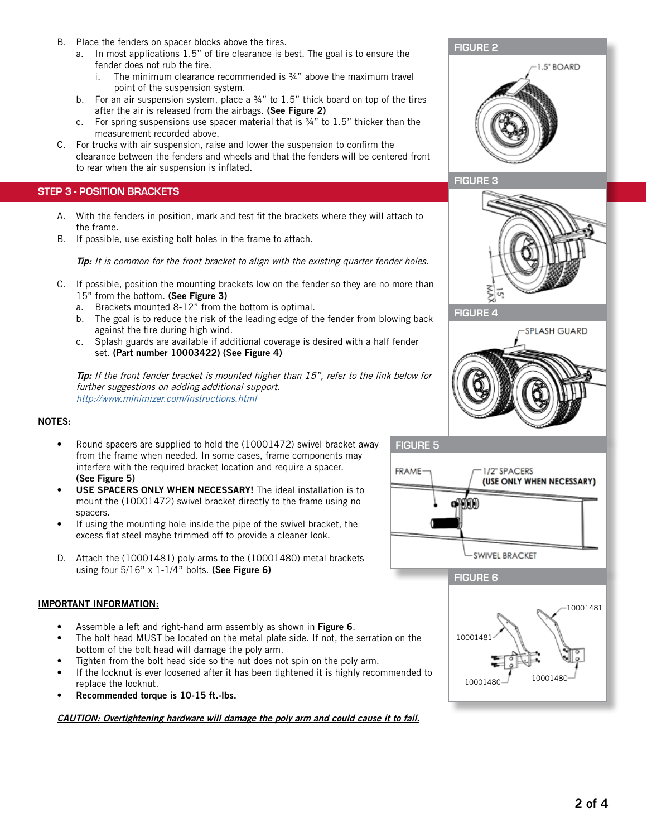- B. Place the fenders on spacer blocks above the tires.
	- a. In most applications 1.5" of tire clearance is best. The goal is to ensure the fender does not rub the tire.
		- i. The minimum clearance recommended is ¾" above the maximum travel point of the suspension system.
	- b. For an air suspension system, place a 34" to 1.5" thick board on top of the tires after the air is released from the airbags. (See Figure 2)
	- c. For spring suspensions use spacer material that is ¾" to 1.5" thicker than the measurement recorded above.
- C. For trucks with air suspension, raise and lower the suspension to confirm the clearance between the fenders and wheels and that the fenders will be centered front to rear when the air suspension is inflated.

# STEP 3 - POSITION BRACKETS

- A. With the fenders in position, mark and test fit the brackets where they will attach to the frame.
- B. If possible, use existing bolt holes in the frame to attach.

Tip: It is common for the front bracket to align with the existing quarter fender holes.

- C. If possible, position the mounting brackets low on the fender so they are no more than 15" from the bottom. (See Figure 3)
	- a. Brackets mounted 8-12" from the bottom is optimal.
	- b. The goal is to reduce the risk of the leading edge of the fender from blowing back against the tire during high wind.
	- c. Splash guards are available if additional coverage is desired with a half fender set. (Part number 10003422) (See Figure 4)

**Tip:** If the front fender bracket is mounted higher than 15", refer to the link below for further suggestions on adding additional support. http://www.minimizer.com/instructions.html

# NOTES:

- Round spacers are supplied to hold the (10001472) swivel bracket away from the frame when needed. In some cases, frame components may interfere with the required bracket location and require a spacer. (See Figure 5)
- USE SPACERS ONLY WHEN NECESSARY! The ideal installation is to mount the (10001472) swivel bracket directly to the frame using no spacers.
- If using the mounting hole inside the pipe of the swivel bracket, the excess flat steel maybe trimmed off to provide a cleaner look.
- D. Attach the (10001481) poly arms to the (10001480) metal brackets using four  $5/16"$  x  $1-1/4"$  bolts. (See Figure 6)

# IMPORTANT INFORMATION:

- Assemble a left and right-hand arm assembly as shown in Figure 6.
- The bolt head MUST be located on the metal plate side. If not, the serration on the bottom of the bolt head will damage the poly arm.
- Tighten from the bolt head side so the nut does not spin on the poly arm.
- If the locknut is ever loosened after it has been tightened it is highly recommended to replace the locknut.
- Recommended torque is 10-15 ft.-lbs.

CAUTION: Overtightening hardware will damage the poly arm and could cause it to fail.



夏





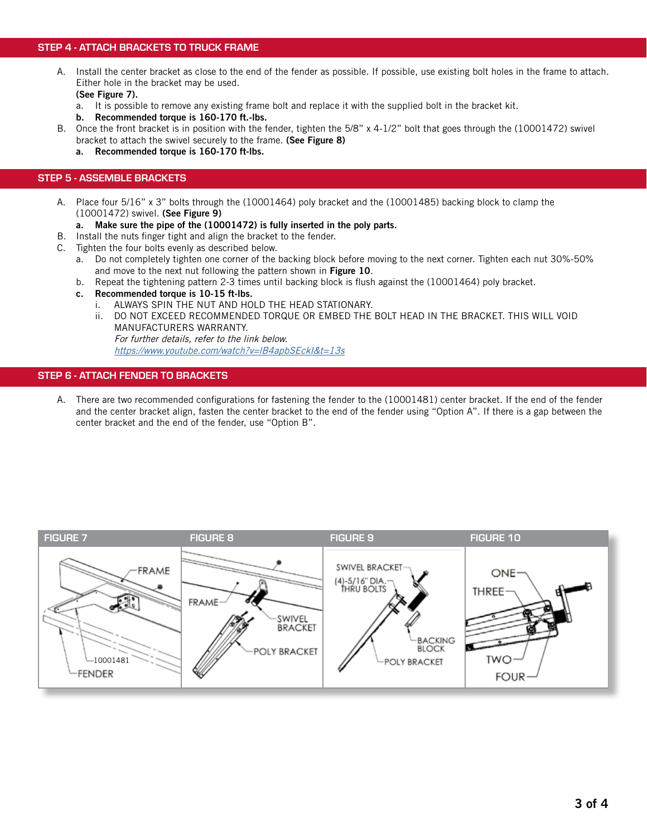# STEP 4 - ATTACH BRACKETS TO TRUCK FRAME

A. Install the center bracket as close to the end of the fender as possible. If possible, use existing bolt holes in the frame to attach. Either hole in the bracket may be used.

(See Figure 7).

- a. It is possible to remove any existing frame bolt and replace it with the supplied bolt in the bracket kit.
- b. Recommended torque is 160-170 ft.-lbs.
- B. Once the front bracket is in position with the fender, tighten the 5/8" x 4-1/2" bolt that goes through the (10001472) swivel bracket to attach the swivel securely to the frame. (See Figure 8)
	- a. Recommended torque is 160-170 ft-lbs.

### STEP 5 - ASSEMBLE BRACKETS

- A. Place four 5/16" x 3" bolts through the (10001464) poly bracket and the (10001485) backing block to clamp the (10001472) swivel. (See Figure 9)
	- a. Make sure the pipe of the (10001472) is fully inserted in the poly parts.
- B. Install the nuts finger tight and align the bracket to the fender.
- C. Tighten the four bolts evenly as described below.
	- a. Do not completely tighten one corner of the backing block before moving to the next corner. Tighten each nut 30%-50% and move to the next nut following the pattern shown in Figure 10.
	- b. Repeat the tightening pattern 2-3 times until backing block is flush against the (10001464) poly bracket.
	- c. Recommended torque is 10-15 ft-lbs.
		- i. ALWAYS SPIN THE NUT AND HOLD THE HEAD STATIONARY.
		- ii. DO NOT EXCEED RECOMMENDED TORQUE OR EMBED THE BOLT HEAD IN THE BRACKET. THIS WILL VOID MANUFACTURERS WARRANTY. For further details, refer to the link below.

<https://www.youtube.com/watch?v=lB4apbSEckI&t=13s>

#### STEP 6 - ATTACH FENDER TO BRACKETS

A. There are two recommended configurations for fastening the fender to the (10001481) center bracket. If the end of the fender and the center bracket align, fasten the center bracket to the end of the fender using "Option A". If there is a gap between the center bracket and the end of the fender, use "Option B".